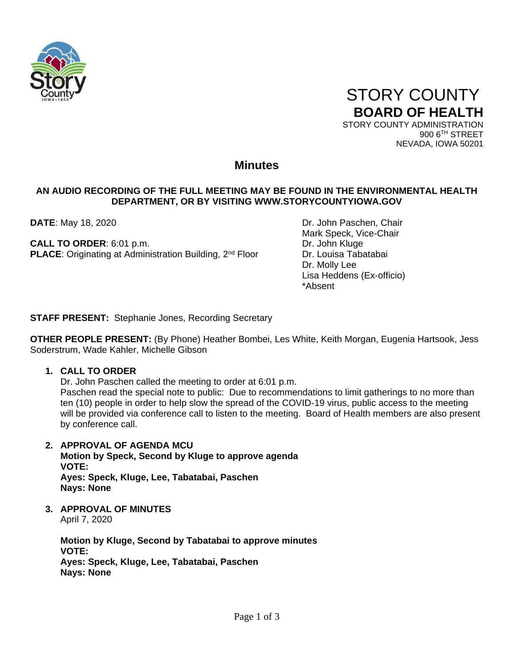



900 6TH STREET NEVADA, IOWA 50201

# **Minutes**

# **AN AUDIO RECORDING OF THE FULL MEETING MAY BE FOUND IN THE ENVIRONMENTAL HEALTH DEPARTMENT, OR BY VISITING WWW.STORYCOUNTYIOWA.GOV**

**CALL TO ORDER:** 6:01 p.m. Dr. John Kluge **PLACE:** Originating at Administration Building, 2<sup>nd</sup> Floor Dr. Louisa Tabatabai

**DATE**: May 18, 2020 **DATE:** May 18, 2020 Mark Speck, Vice-Chair Dr. Molly Lee Lisa Heddens (Ex-officio) \*Absent

**STAFF PRESENT:** Stephanie Jones, Recording Secretary

**OTHER PEOPLE PRESENT:** (By Phone) Heather Bombei, Les White, Keith Morgan, Eugenia Hartsook, Jess Soderstrum, Wade Kahler, Michelle Gibson

# **1. CALL TO ORDER**

Dr. John Paschen called the meeting to order at 6:01 p.m.

Paschen read the special note to public: Due to recommendations to limit gatherings to no more than ten (10) people in order to help slow the spread of the COVID-19 virus, public access to the meeting will be provided via conference call to listen to the meeting. Board of Health members are also present by conference call.

**2. APPROVAL OF AGENDA MCU**

**Motion by Speck, Second by Kluge to approve agenda VOTE: Ayes: Speck, Kluge, Lee, Tabatabai, Paschen Nays: None**

**3. APPROVAL OF MINUTES** April 7, 2020

> **Motion by Kluge, Second by Tabatabai to approve minutes VOTE: Ayes: Speck, Kluge, Lee, Tabatabai, Paschen Nays: None**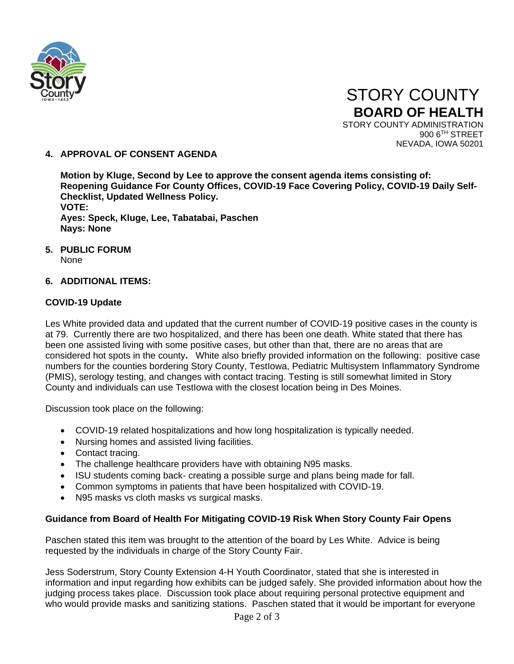

 STORY COUNTY **BOARD OF HEALTH** STORY COUNTY ADMINISTRATION 900 6TH STREET

NEVADA, IOWA 50201

**4. APPROVAL OF CONSENT AGENDA**

**Motion by Kluge, Second by Lee to approve the consent agenda items consisting of: Reopening Guidance For County Offices, COVID-19 Face Covering Policy, COVID-19 Daily Self-Checklist, Updated Wellness Policy. VOTE: Ayes: Speck, Kluge, Lee, Tabatabai, Paschen Nays: None**

**5. PUBLIC FORUM**

None

# **6. ADDITIONAL ITEMS:**

# **COVID-19 Update**

Les White provided data and updated that the current number of COVID-19 positive cases in the county is at 79. Currently there are two hospitalized, and there has been one death. White stated that there has been one assisted living with some positive cases, but other than that, there are no areas that are considered hot spots in the county**.** White also briefly provided information on the following: positive case numbers for the counties bordering Story County, TestIowa, Pediatric Multisystem Inflammatory Syndrome (PMIS), serology testing, and changes with contact tracing. Testing is still somewhat limited in Story County and individuals can use TestIowa with the closest location being in Des Moines.

Discussion took place on the following:

- COVID-19 related hospitalizations and how long hospitalization is typically needed.
- Nursing homes and assisted living facilities.
- Contact tracing.
- The challenge healthcare providers have with obtaining N95 masks.
- ISU students coming back- creating a possible surge and plans being made for fall.
- Common symptoms in patients that have been hospitalized with COVID-19.
- N95 masks vs cloth masks vs surgical masks.

# **Guidance from Board of Health For Mitigating COVID-19 Risk When Story County Fair Opens**

Paschen stated this item was brought to the attention of the board by Les White. Advice is being requested by the individuals in charge of the Story County Fair.

Jess Soderstrum, Story County Extension 4-H Youth Coordinator, stated that she is interested in information and input regarding how exhibits can be judged safely. She provided information about how the judging process takes place. Discussion took place about requiring personal protective equipment and who would provide masks and sanitizing stations. Paschen stated that it would be important for everyone